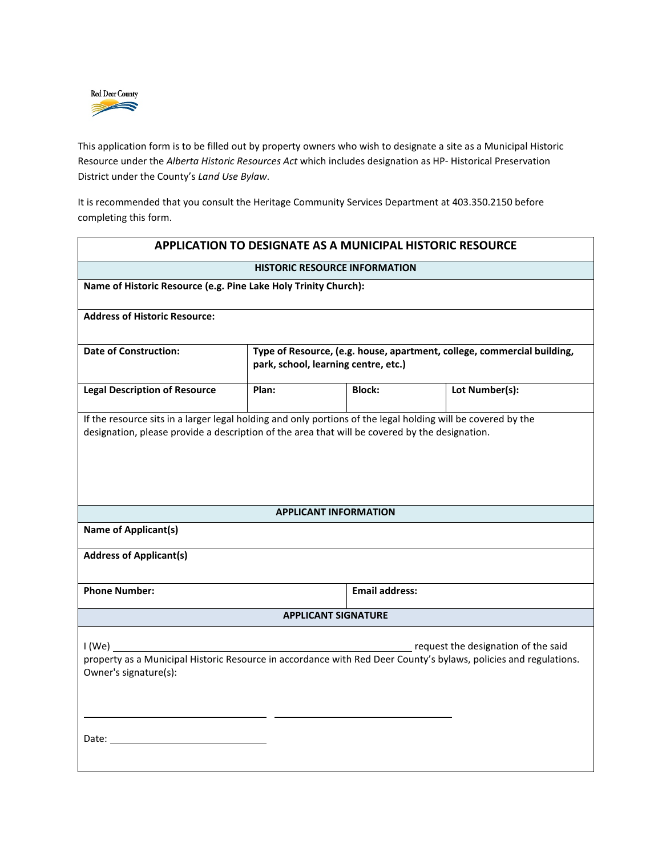

This application form is to be filled out by property owners who wish to designate a site as a Municipal Historic Resource under the *Alberta Historic Resources Act* which includes designation as HP- Historical Preservation District under the County's *Land Use Bylaw*.

It is recommended that you consult the Heritage Community Services Department at 403.350.2150 before completing this form.

| APPLICATION TO DESIGNATE AS A MUNICIPAL HISTORIC RESOURCE                                                                                                                                                                                                                                                       |                                                                                                                 |                       |                                                                                                                                                         |  |  |
|-----------------------------------------------------------------------------------------------------------------------------------------------------------------------------------------------------------------------------------------------------------------------------------------------------------------|-----------------------------------------------------------------------------------------------------------------|-----------------------|---------------------------------------------------------------------------------------------------------------------------------------------------------|--|--|
| <b>HISTORIC RESOURCE INFORMATION</b>                                                                                                                                                                                                                                                                            |                                                                                                                 |                       |                                                                                                                                                         |  |  |
| Name of Historic Resource (e.g. Pine Lake Holy Trinity Church):                                                                                                                                                                                                                                                 |                                                                                                                 |                       |                                                                                                                                                         |  |  |
| <b>Address of Historic Resource:</b>                                                                                                                                                                                                                                                                            |                                                                                                                 |                       |                                                                                                                                                         |  |  |
| <b>Date of Construction:</b>                                                                                                                                                                                                                                                                                    | Type of Resource, (e.g. house, apartment, college, commercial building,<br>park, school, learning centre, etc.) |                       |                                                                                                                                                         |  |  |
| <b>Legal Description of Resource</b>                                                                                                                                                                                                                                                                            | Plan:                                                                                                           | Block:                | Lot Number(s):                                                                                                                                          |  |  |
| If the resource sits in a larger legal holding and only portions of the legal holding will be covered by the<br>designation, please provide a description of the area that will be covered by the designation.<br><b>APPLICANT INFORMATION</b><br><b>Name of Applicant(s)</b><br><b>Address of Applicant(s)</b> |                                                                                                                 |                       |                                                                                                                                                         |  |  |
| <b>Phone Number:</b>                                                                                                                                                                                                                                                                                            |                                                                                                                 | <b>Email address:</b> |                                                                                                                                                         |  |  |
| <b>APPLICANT SIGNATURE</b>                                                                                                                                                                                                                                                                                      |                                                                                                                 |                       |                                                                                                                                                         |  |  |
| I (We)<br>Owner's signature(s):                                                                                                                                                                                                                                                                                 |                                                                                                                 |                       | request the designation of the said<br>property as a Municipal Historic Resource in accordance with Red Deer County's bylaws, policies and regulations. |  |  |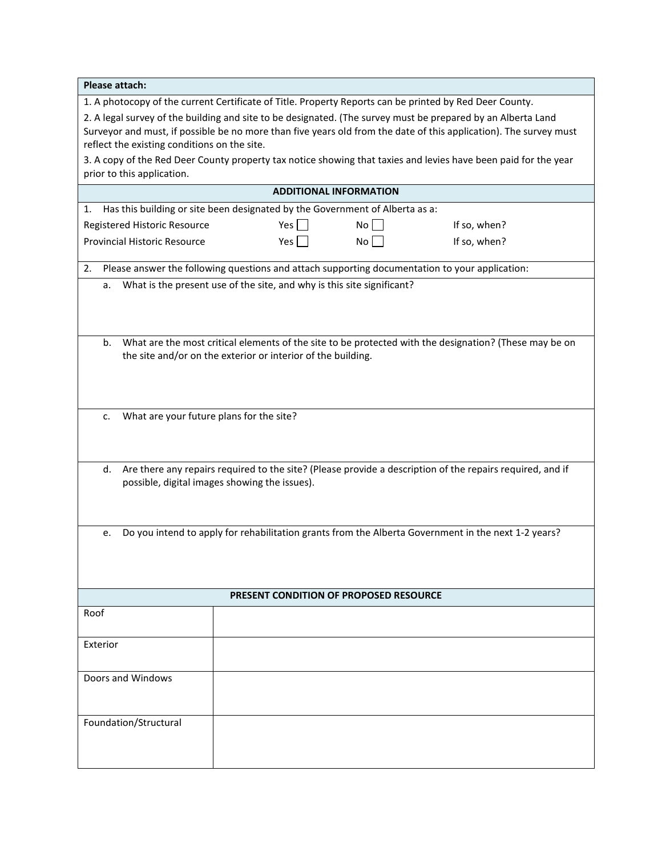| Please attach:                                                                                                                                                                                                                                                                    |                                                                                                                 |      |              |  |  |
|-----------------------------------------------------------------------------------------------------------------------------------------------------------------------------------------------------------------------------------------------------------------------------------|-----------------------------------------------------------------------------------------------------------------|------|--------------|--|--|
|                                                                                                                                                                                                                                                                                   | 1. A photocopy of the current Certificate of Title. Property Reports can be printed by Red Deer County.         |      |              |  |  |
| 2. A legal survey of the building and site to be designated. (The survey must be prepared by an Alberta Land<br>Surveyor and must, if possible be no more than five years old from the date of this application). The survey must<br>reflect the existing conditions on the site. |                                                                                                                 |      |              |  |  |
| prior to this application.                                                                                                                                                                                                                                                        | 3. A copy of the Red Deer County property tax notice showing that taxies and levies have been paid for the year |      |              |  |  |
| <b>ADDITIONAL INFORMATION</b>                                                                                                                                                                                                                                                     |                                                                                                                 |      |              |  |  |
| Has this building or site been designated by the Government of Alberta as a:<br>1.                                                                                                                                                                                                |                                                                                                                 |      |              |  |  |
| Registered Historic Resource                                                                                                                                                                                                                                                      | Yes                                                                                                             | $No$ | If so, when? |  |  |
| Provincial Historic Resource                                                                                                                                                                                                                                                      | Yes                                                                                                             | No   | If so, when? |  |  |
| 2.                                                                                                                                                                                                                                                                                | Please answer the following questions and attach supporting documentation to your application:                  |      |              |  |  |
| a.                                                                                                                                                                                                                                                                                | What is the present use of the site, and why is this site significant?                                          |      |              |  |  |
| What are the most critical elements of the site to be protected with the designation? (These may be on<br>b.<br>the site and/or on the exterior or interior of the building.                                                                                                      |                                                                                                                 |      |              |  |  |
| What are your future plans for the site?<br>c.                                                                                                                                                                                                                                    |                                                                                                                 |      |              |  |  |
| Are there any repairs required to the site? (Please provide a description of the repairs required, and if<br>d.<br>possible, digital images showing the issues).                                                                                                                  |                                                                                                                 |      |              |  |  |
| Do you intend to apply for rehabilitation grants from the Alberta Government in the next 1-2 years?<br>e.                                                                                                                                                                         |                                                                                                                 |      |              |  |  |
|                                                                                                                                                                                                                                                                                   | <b>PRESENT CONDITION OF PROPOSED RESOURCE</b>                                                                   |      |              |  |  |
| Roof                                                                                                                                                                                                                                                                              |                                                                                                                 |      |              |  |  |
| Exterior                                                                                                                                                                                                                                                                          |                                                                                                                 |      |              |  |  |
| Doors and Windows                                                                                                                                                                                                                                                                 |                                                                                                                 |      |              |  |  |
| Foundation/Structural                                                                                                                                                                                                                                                             |                                                                                                                 |      |              |  |  |